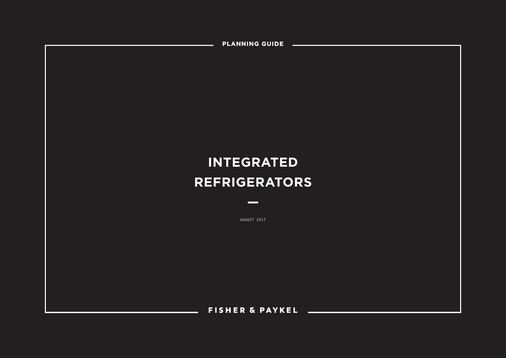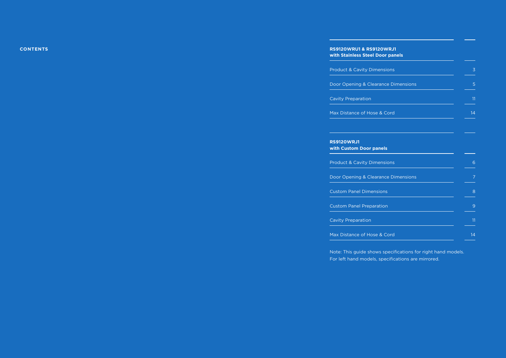## **XXXX CONTENTS RS9120WRU1 & RS9120WRJ1 with Stainless Steel Door panels**

| <b>Product &amp; Cavity Dimensions</b>       | 3  |
|----------------------------------------------|----|
| Door Opening & Clearance Dimensions          | 5  |
| <b>Cavity Preparation</b>                    | 11 |
| Max Distance of Hose & Cord                  | 14 |
|                                              |    |
| <b>RS9120WRJ1</b><br>with Custom Door panels |    |
| <b>Product &amp; Cavity Dimensions</b>       | 6  |
| Door Opening & Clearance Dimensions          | 7  |
| <b>Custom Panel Dimensions</b>               |    |
| <b>Custom Panel Preparation</b>              | 9  |
| <b>Cavity Preparation</b>                    | 11 |
| Max Distance of Hose & Cord                  | 14 |

Note: This guide shows specifications for right hand models. For left hand models, specifications are mirrored.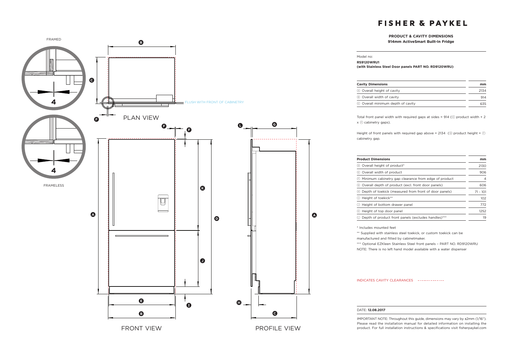## **PRODUCT & CAVITY DIMENSIONS**

#### Model no:

### **RS9120WRU1**

**(with Stainless Steel Door panels PART NO. RD9120WRU)**

| <b>Cavity Dimensions</b>          | mm   |
|-----------------------------------|------|
| A Overall height of cavity        | 2134 |
| (B) Overall width of cavity       | 914  |
| © Overall minimum depth of cavity | 635  |

Total front panel width with required gaps at sides = 914 ( $\epsilon$ ) product width + 2 x (F) cabinetry gaps).

Height of front panels with required gap above = 2134 ( $\circledcirc$  product height +  $\circledcirc$ cabinetry gap.

| <b>Product Dimensions</b>                                   |            |
|-------------------------------------------------------------|------------|
| Overall height of product*<br>D,                            | 2130       |
| Overall width of product<br>(E)                             | 906        |
| Minimum cabinetry gap clearance from edge of product<br>(F) | 4          |
| Overall depth of product (excl. front door panels)<br>(G)   | 606        |
| Depth of toekick (measured from front of door panels)       | $71 - 101$ |
| Height of toekick**<br>(I)                                  | 102        |
| Height of bottom drawer panel<br>(J)                        | 772        |
| Height of top door panel                                    | 1252       |
| Depth of product front panels (excludes handles)***         | 19         |

\* Includes mounted feet

\*\* Supplied with stainless steel toekick, or custom toekick can be

manufactured and fitted by cabinetmaker.

\*\*\* Optional EZKleen Stainless Steel front panels – PART NO. RD9120WRU

NOTE: There is no left hand model available with a water dispenser

#### INDICATES CAVITY CLEARANCES

#### DATE: **12.08.2017**

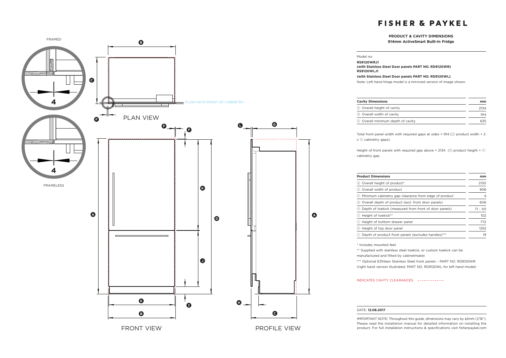## **PRODUCT & CAVITY DIMENSIONS**



### Model no:

**RS9120WRJ1** 

**(with Stainless Steel Door panels PART NO. RD9120WR) RS9120WLJ1** 

**(with Stainless Steel Door panels PART NO. RD9120WL)**

Note: Left hand hinge model is a mirrored version of image shown.

| <b>Cavity Dimensions</b>          | mm   |
|-----------------------------------|------|
| (A) Overall height of cavity      | 2134 |
| (B) Overall width of cavity       | 914  |
| © Overall minimum depth of cavity | 635  |

Total front panel width with required gaps at sides = 914 ( $\epsilon$ ) product width + 2  $x(F)$  cabinetry gaps).

Height of front panels with required gap above = 2134 ( $\circledcirc$  product height +  $\circledcirc$ ) cabinetry gap.

| <b>Product Dimensions</b>                                             | mm         |
|-----------------------------------------------------------------------|------------|
| © Overall height of product*                                          | 2130       |
| (E) Overall width of product                                          | 906        |
| (F) Minimum cabinetry gap clearance from edge of product              |            |
| © Overall depth of product (excl. front door panels)                  | 606        |
| (A) Depth of toekick (measured from front of door panels)             | $71 - 101$ |
| <sup>1</sup> Height of toekick**                                      | 102        |
| (a) Height of bottom drawer panel                                     | 772        |
| (k) Height of top door panel                                          | 1252       |
| Depth of product front panels (excludes handles)***<br>$(\mathsf{L})$ | 19         |
|                                                                       |            |

\* Includes mounted feet

\*\* Supplied with stainless steel toekick, or custom toekick can be manufactured and fitted by cabinetmaker.

\*\*\* Optional EZKleen Stainless Steel front panels – PART NO. RD9120WR (right hand version illustrated, PART NO. RD9120WL for left hand model)

INDICATES CAVITY CLEARANCES

#### DATE: **12.08.2017**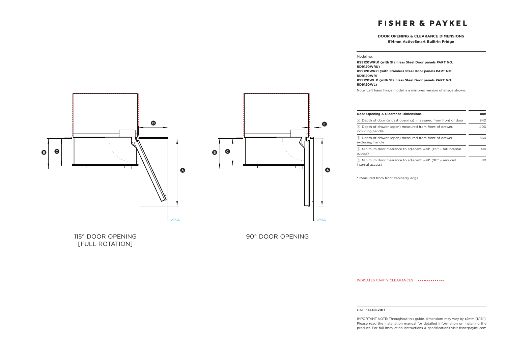### **DOOR OPENING & CLEARANCE DIMENSIONS 914mm ActiveSmart Built-In Fridge**

**B C D B C a**

Model no:

**RS9120WRU1 (with Stainless Steel Door panels PART NO. RD9120WRU) RS9120WRJ1 (with Stainless Steel Door panels PART NO. RD9120WR) RS9120WLJ1 (with Stainless Steel Door panels PART NO. RD9120WL)**

Note: Left hand hinge model is a mirrored version of image shown.

| Door Opening & Clearance Dimensions                                                  |     |
|--------------------------------------------------------------------------------------|-----|
| Depth of door (widest opening) measured from front of door<br>(A)                    | 940 |
| Depth of drawer (open) measured from front of drawer.<br>(B)<br>including handle     |     |
| Depth of drawer (open) measured from front of drawer,<br>(c)<br>excluding handle     | 360 |
| <b>(0) Minimum door clearance to adiacent wall* (115° - full internal</b><br>access) |     |
| (E) Minimum door clearance to adjacent wall* (90° - reduced<br>internal access)      | 11O |

\* Measured from front cabinetry edge.

[FULL ROTATION]

115° DOOR OPENING THE STATE SERVICE OPENING A SUMMON SERVICE OPENING

INDICATES CAVITY CLEARANCES

#### DATE: **12.08.2017**

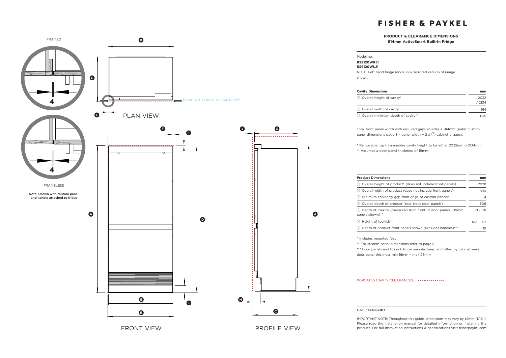### **PRODUCT & CLEARANCE DIMENSIONS 914mm ActiveSmart Built-In Fridge**



**Cavity Dimensions mm** a Overall height of cavity\* 2032 / 2134 **B** Overall width of cavity 914 c Overall minimum depth of cavity\*\* 635

NOTE: Left hand hinge model is a mirrored version of image

Total front panel width with required gaps at sides = 914mm (Refer custom panel dimensions page 8 - panel width + 2 x  $\overline{F}$  cabinetry gaps).

\* Removable top trim enables cavity height to be either 2032mm or2134mm. \*\* Assumes a door panel thickness of 19mm.

| <b>Product Dimensions</b>                                                             |             |
|---------------------------------------------------------------------------------------|-------------|
| Overall height of product* (does not include front panels)<br>(D)                     | 2028        |
| (E) Overall width of product (does not include front panels)                          | 890         |
| (F) Minimum cabinetry gap from edge of custom panels*                                 | 4           |
| Overall depth of product (excl. front door panels)<br>(G)                             | 606         |
| Depth of toekick (measured from front of door panels - 19mm<br>(H)<br>panels shown)** | $71 - 101$  |
| Height of toekick**<br>$\left( 1\right)$                                              | $102 - 152$ |
| Depth of product front panels shown (excludes handles)***                             | 19          |

\* Includes mounted feet

**A**

Model no: **RS9120WRJ1 RS9120WLJ1**

shown.

\*\* For custom panel dimensions refer to page 8

\*\*\* Door panels and toekick to be manufactured and fitted by cabinetmaker, door panel thickness min 16mm – max 25mm

### INDICATES CAVITY CLEARANCES

#### DATE: **12.08.2017**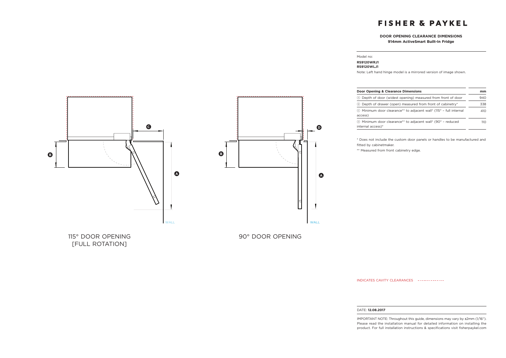## **DOOR OPENING CLEARANCE DIMENSIONS 914mm ActiveSmart Built-In Fridge**

### Model no:

### **RS9120WRJ1 RS9120WLJ1**

Note: Left hand hinge model is a mirrored version of image shown.

| Door Opening & Clearance Dimensions                                                |     |
|------------------------------------------------------------------------------------|-----|
| (A) Depth of door (widest opening) measured from front of door                     | 940 |
| <sup>(B)</sup> Depth of drawer (open) measured from front of cabinetry*            |     |
| © Minimum door clearance** to adjacent wall* (115° - full internal<br>access)      | 410 |
| (b) Minimum door clearance** to adjacent wall* (90° - reduced<br>internal access)* | 110 |

\* Does not include the custom door panels or handles to be manufactured and fitted by cabinetmaker.

\*\* Measured from front cabinetry edge.





115° DOOR OPENING 115° DOOR OPENING [FULL ROTATION]

INDICATES CAVITY CLEARANCES

### DATE: **12.08.2017**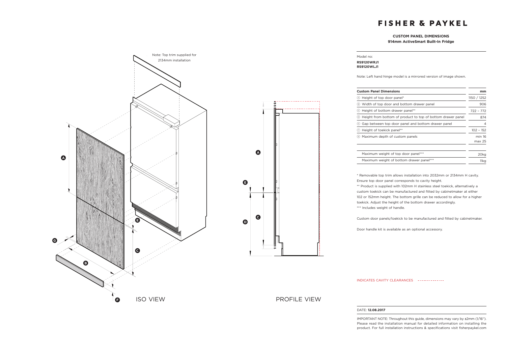### **CUSTOM PANEL DIMENSIONS 914mm ActiveSmart Built-In Fridge**



### Model no: **RS9120WRJ1 RS9120WLJ1**

Note: Left hand hinge model is a mirrored version of image shown.

| <b>Custom Panel Dimensions</b>                                     | mm               |
|--------------------------------------------------------------------|------------------|
| Height of top door panel*<br>(A)                                   | 1150 / 1252      |
| Width of top door and bottom drawer panel<br>(в)                   | 906              |
| Height of bottom drawer panel**<br>(c)                             | $722 - 772$      |
| Height from bottom of product to top of bottom drawer panel<br>(D) | 874              |
| Gap between top door panel and bottom drawer panel<br>(E)          | 4                |
| Height of toekick panel**                                          | $102 - 152$      |
| Maximum depth of custom panels<br>$\left( $                        | min 16<br>max 25 |
| Maximum weight of top door panel***                                | 20 <sub>kg</sub> |
| Maximum weight of bottom drawer panel***                           | 11ka             |

\* Removable top trim allows installation into 2032mm or 2134mm H cavity. Ensure top door panel corresponds to cavity height.

\*\* Product is supplied with 102mm H stainless steel toekick, alternatively a custom toekick can be manufactured and fitted by cabinetmaker at either 102 or 152mm height. The bottom grille can be reduced to allow for a higher toekick. Adjust the height of the bottom drawer accordingly. \*\*\* Includes weight of handle.

Custom door panels/toekick to be manufactured and fitted by cabinetmaker.

Door handle kit is available as an optional accessory.

INDICATES CAVITY CLEARANCES

### DATE: **12.08.2017**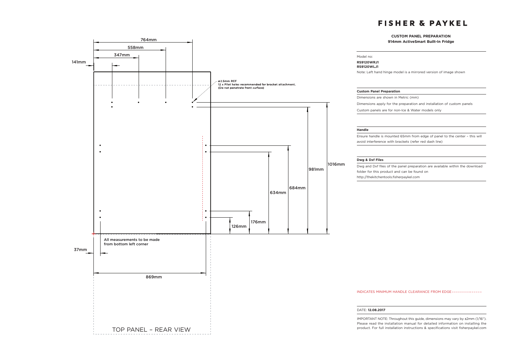## **CUSTOM PANEL PREPARATION**

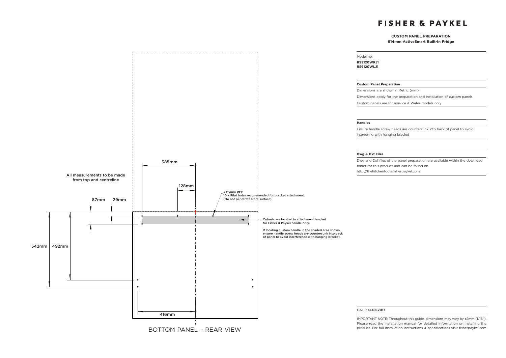### **CUSTOM PANEL PREPARATION 914mm ActiveSmart Built-In Fridge**



Model no: **RS9120WRJ1 RS9120WLJ1**

#### **Custom Panel Preparation**

Dimensions are shown in Metric (mm)

Dimensions apply for the preparation and installation of custom panels

Custom panels are for non-Ice & Water models only

### **Handles**

Ensure handle screw heads are countersunk into back of panel to avoid interfering with hanging bracket

### **Dwg & Dxf Files**

Dwg and Dxf files of the panel preparation are available within the download folder for this product and can be found on http://thekitchentools.fisherpaykel.com

#### DATE: **12.08.2017**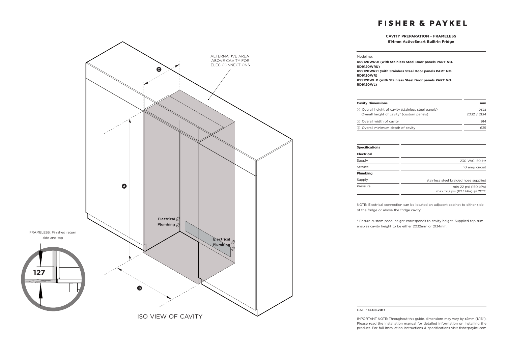## **CAVITY PREPARATION - FRAMELESS 914mm ActiveSmart Built-In Fridge**



**RS9120WRU1 (with Stainless Steel Door panels PART NO. RD9120WRU) RS9120WRJ1 (with Stainless Steel Door panels PART NO. RD9120WR) RS9120WLJ1 (with Stainless Steel Door panels PART NO. RD9120WL)**

Model no:

| <b>Cavity Dimensions</b>                                                                           | mm                  |
|----------------------------------------------------------------------------------------------------|---------------------|
| (A) Overall height of cavity (stainless steel panels)<br>Overall height of cavity* (custom panels) | 2134<br>2032 / 2134 |
| 8 Overall width of cavity                                                                          | 914                 |
| © Overall minimum depth of cavity                                                                  | 635                 |

| <b>Specifications</b> |                                                      |
|-----------------------|------------------------------------------------------|
| Electrical            |                                                      |
| Supply                | 230 VAC, 50 Hz                                       |
| Service               | 10 amp circuit                                       |
| Plumbing              |                                                      |
| Supply                | stainless steel braided hose supplied                |
| Pressure              | min 22 psi (150 kPa)<br>max 120 psi (827 kPa) @ 20°C |

NOTE: Electrical connection can be located an adjacent cabinet to either side of the fridge or above the fridge cavity.

\* Ensure custom panel height corresponds to cavity height. Supplied top trim enables cavity height to be either 2032mm or 2134mm.

### DATE: **12.08.2017**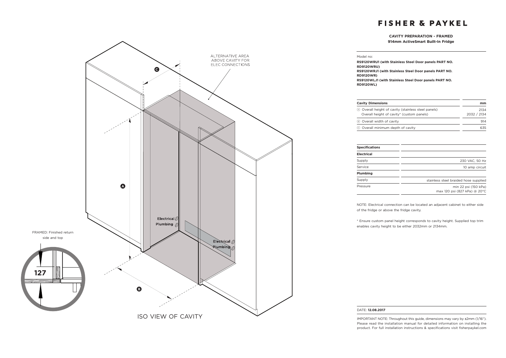## **CAVITY PREPARATION - FRAMED 914mm ActiveSmart Built-In Fridge**



Model no:

**RS9120WRU1 (with Stainless Steel Door panels PART NO. RD9120WRU) RS9120WRJ1 (with Stainless Steel Door panels PART NO. RD9120WR) RS9120WLJ1 (with Stainless Steel Door panels PART NO. RD9120WL)**

| <b>Cavity Dimensions</b>                                                                           | mm                  |
|----------------------------------------------------------------------------------------------------|---------------------|
| (A) Overall height of cavity (stainless steel panels)<br>Overall height of cavity* (custom panels) | 2134<br>2032 / 2134 |
| 8 Overall width of cavity                                                                          | 914                 |
| © Overall minimum depth of cavity                                                                  | 635                 |

| <b>Specifications</b> |                                                      |
|-----------------------|------------------------------------------------------|
| Electrical            |                                                      |
| Supply                | 230 VAC, 50 Hz                                       |
| Service               | 10 amp circuit                                       |
| Plumbing              |                                                      |
| Supply                | stainless steel braided hose supplied                |
| Pressure              | min 22 psi (150 kPa)<br>max 120 psi (827 kPa) @ 20°C |

NOTE: Electrical connection can be located an adjacent cabinet to either side of the fridge or above the fridge cavity.

\* Ensure custom panel height corresponds to cavity height. Supplied top trim enables cavity height to be either 2032mm or 2134mm.

#### DATE: **12.08.2017**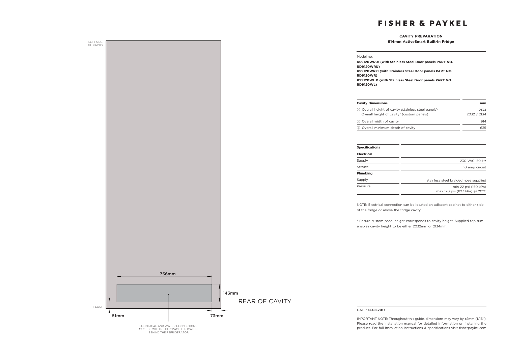2134

## **CAVITY PREPARATION**

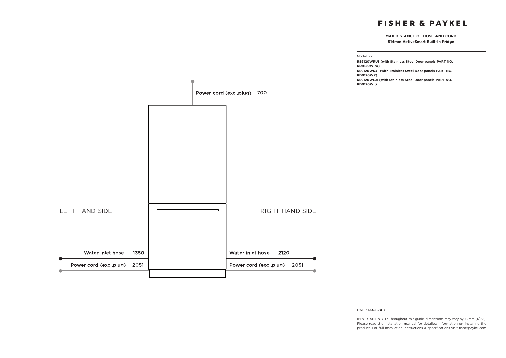**MAX DISTANCE OF HOSE AND CORD 914mm ActiveSmart Built-In Fridge**



#### DATE: **12.08.2017**

IMPORTANT NOTE: Throughout this guide, dimensions may vary by ±2mm (1/16''). Please read the installation manual for detailed information on installing the product. For full installation instructions & specifications visit fisherpaykel.com